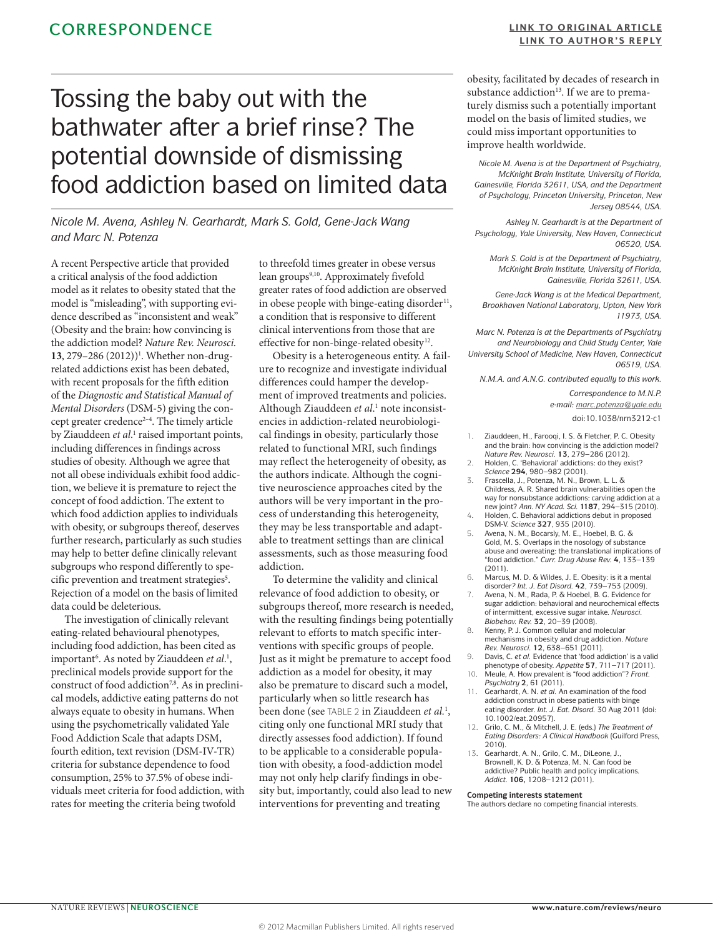## Tossing the baby out with the bathwater after a brief rinse? The potential downside of dismissing food addiction based on limited data

*Nicole M. Avena, Ashley N. Gearhardt, Mark S. Gold, Gene-Jack Wang and Marc N. Potenza*

A recent Perspective article that provided a critical analysis of the food addiction model as it relates to obesity stated that the model is "misleading", with supporting evidence described as "inconsistent and weak" (Obesity and the brain: how convincing is the addiction model? *Nature Rev. Neurosci.* **13**, 279–286 (2012)<sup>1</sup>. Whether non-drugrelated addictions exist has been debated, with recent proposals for the fifth edition of the *Diagnostic and Statistical Manual of Mental Disorders* (DSM-5) giving the concept greater credence2–4. The timely article by Ziauddeen *et al*. 1 raised important points, including differences in findings across studies of obesity. Although we agree that not all obese individuals exhibit food addiction, we believe it is premature to reject the concept of food addiction. The extent to which food addiction applies to individuals with obesity, or subgroups thereof, deserves further research, particularly as such studies may help to better define clinically relevant subgroups who respond differently to specific prevention and treatment strategies<sup>5</sup>. Rejection of a model on the basis of limited data could be deleterious.

The investigation of clinically relevant eating-related behavioural phenotypes, including food addiction, has been cited as important<sup>6</sup>. As noted by Ziauddeen *et al.*<sup>1</sup>, preclinical models provide support for the construct of food addiction<sup>7,8</sup>. As in preclinical models, addictive eating patterns do not always equate to obesity in humans. When using the psychometrically validated Yale Food Addiction Scale that adapts DSM, fourth edition, text revision (DSM-IV-TR) criteria for substance dependence to food consumption, 25% to 37.5% of obese individuals meet criteria for food addiction, with rates for meeting the criteria being twofold

to threefold times greater in obese versus lean groups<sup>9,10</sup>. Approximately fivefold greater rates of food addiction are observed in obese people with binge-eating disorder $11$ , a condition that is responsive to different clinical interventions from those that are effective for non-binge-related obesity<sup>12</sup>.

Obesity is a heterogeneous entity. A failure to recognize and investigate individual differences could hamper the development of improved treatments and policies. Although Ziauddeen *et al*. 1 note inconsistencies in addiction-related neurobiological findings in obesity, particularly those related to functional MRI, such findings may reflect the heterogeneity of obesity, as the authors indicate. Although the cognitive neuroscience approaches cited by the authors will be very important in the process of understanding this heterogeneity, they may be less transportable and adaptable to treatment settings than are clinical assessments, such as those measuring food addiction.

To determine the validity and clinical relevance of food addiction to obesity, or subgroups thereof, more research is needed, with the resulting findings being potentially relevant to efforts to match specific interventions with specific groups of people. Just as it might be premature to accept food addiction as a model for obesity, it may also be premature to discard such a model, particularly when so little research has been done (see TABLE 2 in Ziauddeen *et al.*<sup>1</sup> , citing only one functional MRI study that directly assesses food addiction). If found to be applicable to a considerable population with obesity, a food-addiction model may not only help clarify findings in obesity but, importantly, could also lead to new interventions for preventing and treating

obesity, facilitated by decades of research in substance addiction<sup>13</sup>. If we are to prematurely dismiss such a potentially important model on the basis of limited studies, we could miss important opportunities to improve health worldwide.

*Nicole M. Avena is at the Department of Psychiatry, McKnight Brain Institute, University of Florida, Gainesville, Florida 32611, USA, and the Department of Psychology, Princeton University, Princeton, New Jersey 08544, USA.*

*Ashley N. Gearhardt is at the Department of Psychology, Yale University, New Haven, Connecticut 06520, USA.*

*Mark S. Gold is at the Department of Psychiatry, McKnight Brain Institute, University of Florida, Gainesville, Florida 32611, USA.*

*Gene-Jack Wang is at the Medical Department, Brookhaven National Laboratory, Upton, New York 11973, USA.*

*Marc N. Potenza is at the Departments of Psychiatry and Neurobiology and Child Study Center, Yale University School of Medicine, New Haven, Connecticut 06519, USA.* 

*N.M.A. and A.N.G. contributed equally to this work.*

*Correspondence to M.N.P.* 

*e-mail: [marc.potenza@yale.edu](mailto: marc.potenza@yale.edu)*

doi:10.1038/nrn3212‑c1

- 1. Ziauddeen, H., Farooqi, I. S. & Fletcher, P. C. Obesity and the brain: how convincing is the addiction model? *Nature Rev. Neurosci.* **13**, 279–286 (2012).
- 2. Holden, C. 'Behavioral' addictions: do they exist? *Science* **294**, 980–982 (2001).
- 3. Frascella, J., Potenza, M. N., Brown, L. L. & Childress, A. R. Shared brain vulnerabilities open the way for nonsubstance addictions: carving addiction at a new joint? *Ann. NY Acad. Sci.* **1187**, 294–315 (2010). 4. Holden, C. Behavioral addictions debut in proposed
- DSM-V. *Science* **327**, 935 (2010). 5. Avena, N. M., Bocarsly, M. E., Hoebel, B. G. &
- Gold, M. S. Overlaps in the nosology of substance abuse and overeating: the translational implications of "food addiction." *Curr. Drug Abuse Rev.* **4**, 133–139 (2011).
- 6. Marcus, M. D. & Wildes, J. E. Obesity: is it a mental disorder*? Int. J. Eat Disord.* **42**, 739–753 (2009).
- 7. Avena, N. M., Rada, P. & Hoebel, B. G. Evidence for sugar addiction: behavioral and neurochemical effects of intermittent, excessive sugar intake. *Neurosci. Biobehav. Rev.* **32**, 20–39 (2008).
- Kenny, P. J. Common cellular and molecular mechanisms in obesity and drug addiction. *Nature Rev. Neurosci.* **12**, 638–651 (2011).
- 9. Davis, C. *et al.* Evidence that 'food addiction' is a valid phenotype of obesity. *Appetite* **57**, 711–717 (2011).
- 10. Meule, A. How prevalent is "food addiction"? *Front. Psychiatry* **2**, 61 (2011).
- 11. Gearhardt, A. N. *et al.* An examination of the food addiction construct in obese patients with binge eating disorder. *Int. J. Eat. Disord.* 30 Aug 2011 (doi: 10.1002/eat.20957).
- 12. Grilo, C. M., & Mitchell, J. E. (eds.) *The Treatment of Eating Disorders: A Clinical Handbook* (Guilford Press, 2010).
- 13. Gearhardt, A. N., Grilo, C. M., DiLeone, J., Brownell, K. D. & Potenza, M. N. Can food be addictive? Public health and policy implications. *Addict.* **106,** 1208–1212 (2011).

**Competing interests statement**

The authors declare no competing financial interests.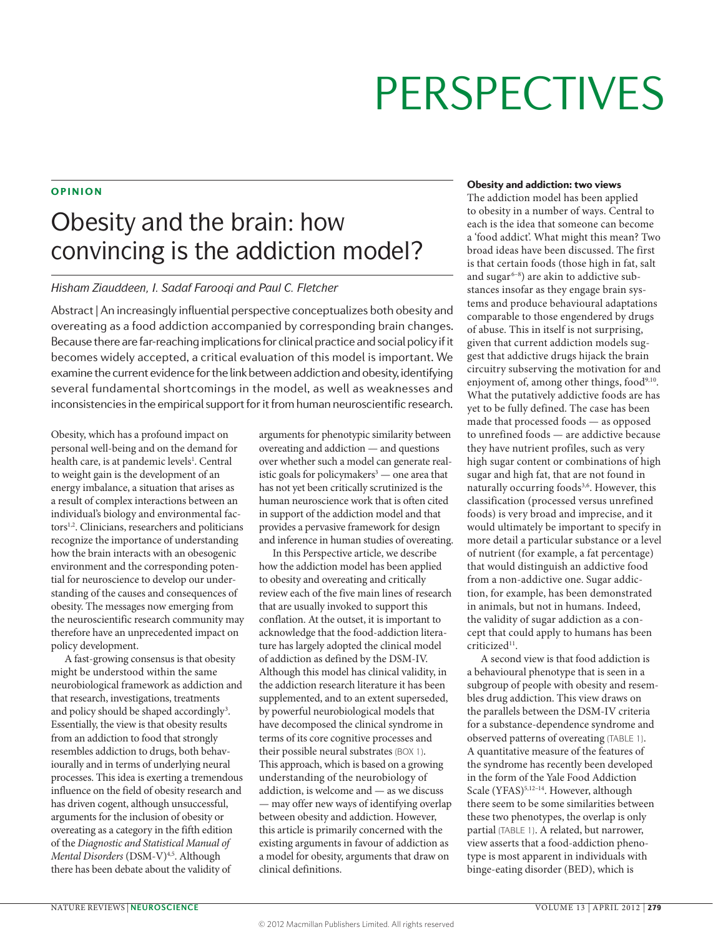### OPINION

# Obesity and the brain: how convincing is the addiction model?

### *Hisham Ziauddeen, I. Sadaf Farooqi and Paul C. Fletcher*

Abstract | An increasingly influential perspective conceptualizes both obesity and overeating as a food addiction accompanied by corresponding brain changes. Because there are far-reaching implications for clinical practice and social policy if it becomes widely accepted, a critical evaluation of this model is important. We examine the current evidence for the link between addiction and obesity, identifying several fundamental shortcomings in the model, as well as weaknesses and inconsistencies in the empirical support for it from human neuroscientific research.

Obesity, which has a profound impact on personal well-being and on the demand for health care, is at pandemic levels<sup>1</sup>. Central to weight gain is the development of an energy imbalance, a situation that arises as a result of complex interactions between an individual's biology and environmental factors<sup>1,2</sup>. Clinicians, researchers and politicians recognize the importance of understanding how the brain interacts with an obesogenic environment and the corresponding potential for neuroscience to develop our understanding of the causes and consequences of obesity. The messages now emerging from the neuroscientific research community may therefore have an unprecedented impact on policy development.

A fast-growing consensus is that obesity might be understood within the same neurobiological framework as addiction and that research, investigations, treatments and policy should be shaped accordingly<sup>3</sup>. Essentially, the view is that obesity results from an addiction to food that strongly resembles addiction to drugs, both behaviourally and in terms of underlying neural processes. This idea is exerting a tremendous influence on the field of obesity research and has driven cogent, although unsuccessful, arguments for the inclusion of obesity or overeating as a category in the fifth edition of the *Diagnostic and Statistical Manual of Mental Disorders* (DSM-V)<sup>4,5</sup>. Although there has been debate about the validity of

arguments for phenotypic similarity between overeating and addiction — and questions over whether such a model can generate realistic goals for policymakers $3$  — one area that has not yet been critically scrutinized is the human neuroscience work that is often cited in support of the addiction model and that provides a pervasive framework for design and inference in human studies of overeating.

In this Perspective article, we describe how the addiction model has been applied to obesity and overeating and critically review each of the five main lines of research that are usually invoked to support this conflation. At the outset, it is important to acknowledge that the food-addiction literature has largely adopted the clinical model of addiction as defined by the DSM-IV. Although this model has clinical validity, in the addiction research literature it has been supplemented, and to an extent superseded, by powerful neurobiological models that have decomposed the clinical syndrome in terms of its core cognitive processes and their possible neural substrates (BOX 1). This approach, which is based on a growing understanding of the neurobiology of addiction, is welcome and — as we discuss — may offer new ways of identifying overlap between obesity and addiction. However, this article is primarily concerned with the existing arguments in favour of addiction as a model for obesity, arguments that draw on clinical definitions.

### Obesity and addiction: two views

The addiction model has been applied to obesity in a number of ways. Central to each is the idea that someone can become a 'food addict'. What might this mean? Two broad ideas have been discussed. The first is that certain foods (those high in fat, salt and sugar<sup>6-8</sup>) are akin to addictive substances insofar as they engage brain systems and produce behavioural adaptations comparable to those engendered by drugs of abuse. This in itself is not surprising, given that current addiction models suggest that addictive drugs hijack the brain circuitry subserving the motivation for and enjoyment of, among other things, food<sup>9,10</sup>. What the putatively addictive foods are has yet to be fully defined. The case has been made that processed foods — as opposed to unrefined foods — are addictive because they have nutrient profiles, such as very high sugar content or combinations of high sugar and high fat, that are not found in naturally occurring foods<sup>3,6</sup>. However, this classification (processed versus unrefined foods) is very broad and imprecise, and it would ultimately be important to specify in more detail a particular substance or a level of nutrient (for example, a fat percentage) that would distinguish an addictive food from a non-addictive one. Sugar addiction, for example, has been demonstrated in animals, but not in humans. Indeed, the validity of sugar addiction as a concept that could apply to humans has been criticized11.

A second view is that food addiction is a behavioural phenotype that is seen in a subgroup of people with obesity and resembles drug addiction. This view draws on the parallels between the DSM-IV criteria for a substance-dependence syndrome and observed patterns of overeating (TABLE 1). A quantitative measure of the features of the syndrome has recently been developed in the form of the Yale Food Addiction Scale (YFAS)<sup>5,12-14</sup>. However, although there seem to be some similarities between these two phenotypes, the overlap is only partial (TABLE 1). A related, but narrower, view asserts that a food-addiction phenotype is most apparent in individuals with binge-eating disorder (BED), which is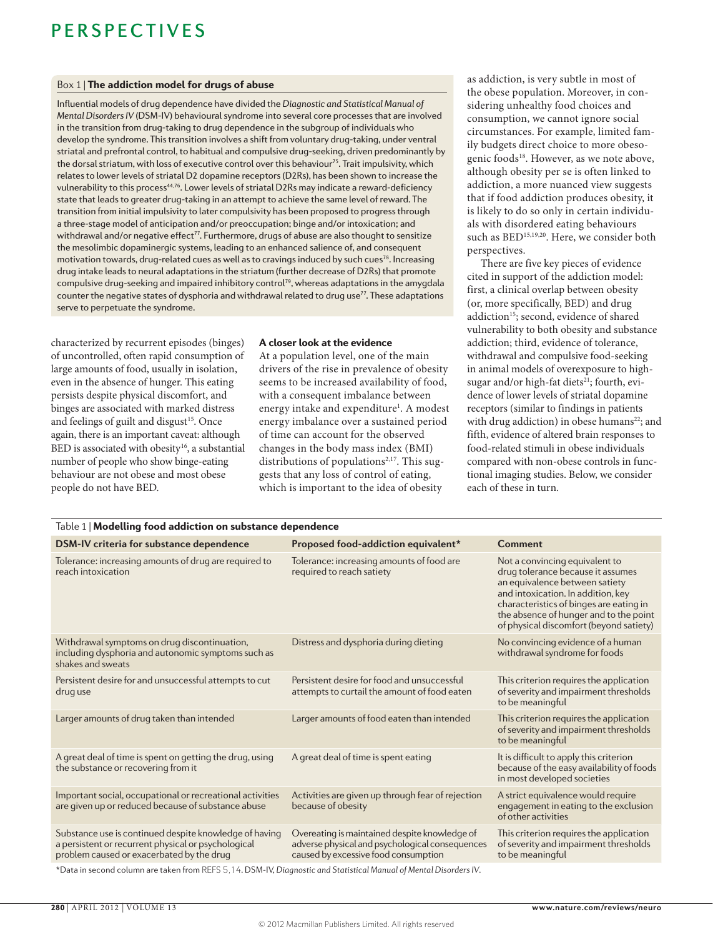#### Box 1 | The addiction model for drugs of abuse

Influential models of drug dependence have divided the *Diagnostic and Statistical Manual of Mental Disorders IV* (DSM-IV) behavioural syndrome into several core processes that are involved in the transition from drug-taking to drug dependence in the subgroup of individuals who develop the syndrome. This transition involves a shift from voluntary drug-taking, under ventral striatal and prefrontal control, to habitual and compulsive drug-seeking, driven predominantly by the dorsal striatum, with loss of executive control over this behaviour<sup>75</sup>. Trait impulsivity, which relates to lower levels of striatal D2 dopamine receptors (D2Rs), has been shown to increase the vulnerability to this process<sup>44,76</sup>. Lower levels of striatal D2Rs may indicate a reward-deficiency state that leads to greater drug-taking in an attempt to achieve the same level of reward. The transition from initial impulsivity to later compulsivity has been proposed to progress through a three-stage model of anticipation and/or preoccupation; binge and/or intoxication; and withdrawal and/or negative effect<sup>77</sup>. Furthermore, drugs of abuse are also thought to sensitize the mesolimbic dopaminergic systems, leading to an enhanced salience of, and consequent motivation towards, drug-related cues as well as to cravings induced by such cues<sup>78</sup>. Increasing drug intake leads to neural adaptations in the striatum (further decrease of D2Rs) that promote compulsive drug-seeking and impaired inhibitory control<sup>79</sup>, whereas adaptations in the amygdala counter the negative states of dysphoria and withdrawal related to drug use<sup>77</sup>. These adaptations serve to perpetuate the syndrome.

characterized by recurrent episodes (binges) of uncontrolled, often rapid consumption of large amounts of food, usually in isolation, even in the absence of hunger. This eating persists despite physical discomfort, and binges are associated with marked distress and feelings of guilt and disgust<sup>15</sup>. Once again, there is an important caveat: although BED is associated with obesity<sup>16</sup>, a substantial number of people who show binge-eating behaviour are not obese and most obese people do not have BED.

Table 1 | Modelling food addiction on substance dependence

### A closer look at the evidence

At a population level, one of the main drivers of the rise in prevalence of obesity seems to be increased availability of food, with a consequent imbalance between energy intake and expenditure<sup>1</sup>. A modest energy imbalance over a sustained period of time can account for the observed changes in the body mass index (BMI) distributions of populations<sup> $2,17$ </sup>. This suggests that any loss of control of eating, which is important to the idea of obesity

as addiction, is very subtle in most of the obese population. Moreover, in considering unhealthy food choices and consumption, we cannot ignore social circumstances. For example, limited family budgets direct choice to more obesogenic foods18. However, as we note above, although obesity per se is often linked to addiction, a more nuanced view suggests that if food addiction produces obesity, it is likely to do so only in certain individuals with disordered eating behaviours such as BED15,19,20. Here, we consider both perspectives.

There are five key pieces of evidence cited in support of the addiction model: first, a clinical overlap between obesity (or, more specifically, BED) and drug addiction<sup>15</sup>; second, evidence of shared vulnerability to both obesity and substance addiction; third, evidence of tolerance, withdrawal and compulsive food-seeking in animal models of overexposure to highsugar and/or high-fat diets<sup>21</sup>; fourth, evidence of lower levels of striatal dopamine receptors (similar to findings in patients with drug addiction) in obese humans<sup>22</sup>; and fifth, evidence of altered brain responses to food-related stimuli in obese individuals compared with non-obese controls in functional imaging studies. Below, we consider each of these in turn.

| <b>DSM-IV criteria for substance dependence</b>                                                                                                            | Proposed food-addiction equivalent*                                                                                                      | <b>Comment</b>                                                                                                                                                                                                                                                              |  |  |  |  |  |  |  |
|------------------------------------------------------------------------------------------------------------------------------------------------------------|------------------------------------------------------------------------------------------------------------------------------------------|-----------------------------------------------------------------------------------------------------------------------------------------------------------------------------------------------------------------------------------------------------------------------------|--|--|--|--|--|--|--|
| Tolerance: increasing amounts of drug are required to<br>reach intoxication                                                                                | Tolerance: increasing amounts of food are<br>required to reach satiety                                                                   | Not a convincing equivalent to<br>drug tolerance because it assumes<br>an equivalence between satiety<br>and intoxication. In addition, key<br>characteristics of binges are eating in<br>the absence of hunger and to the point<br>of physical discomfort (beyond satiety) |  |  |  |  |  |  |  |
| Withdrawal symptoms on drug discontinuation,<br>including dysphoria and autonomic symptoms such as<br>shakes and sweats                                    | Distress and dysphoria during dieting                                                                                                    | No convincing evidence of a human<br>withdrawal syndrome for foods                                                                                                                                                                                                          |  |  |  |  |  |  |  |
| Persistent desire for and unsuccessful attempts to cut<br>drug use                                                                                         | Persistent desire for food and unsuccessful<br>attempts to curtail the amount of food eaten                                              | This criterion requires the application<br>of severity and impairment thresholds<br>to be meaningful                                                                                                                                                                        |  |  |  |  |  |  |  |
| Larger amounts of drug taken than intended                                                                                                                 | Larger amounts of food eaten than intended                                                                                               | This criterion requires the application<br>of severity and impairment thresholds<br>to be meaningful                                                                                                                                                                        |  |  |  |  |  |  |  |
| A great deal of time is spent on getting the drug, using<br>the substance or recovering from it                                                            | A great deal of time is spent eating                                                                                                     | It is difficult to apply this criterion<br>because of the easy availability of foods<br>in most developed societies                                                                                                                                                         |  |  |  |  |  |  |  |
| Important social, occupational or recreational activities<br>are given up or reduced because of substance abuse                                            | Activities are given up through fear of rejection<br>because of obesity                                                                  | A strict equivalence would require<br>engagement in eating to the exclusion<br>of other activities                                                                                                                                                                          |  |  |  |  |  |  |  |
| Substance use is continued despite knowledge of having<br>a persistent or recurrent physical or psychological<br>problem caused or exacerbated by the drug | Overeating is maintained despite knowledge of<br>adverse physical and psychological consequences<br>caused by excessive food consumption | This criterion requires the application<br>of severity and impairment thresholds<br>to be meaningful                                                                                                                                                                        |  |  |  |  |  |  |  |
| *Data in second column are taken from REES 5.14 DSM-IV Digenestic and Statistical Manual of Mental Disorders IV                                            |                                                                                                                                          |                                                                                                                                                                                                                                                                             |  |  |  |  |  |  |  |

\*Data in second column are taken from REFS 5,14. DSM-IV, *Diagnostic and Statistical Manual of Mental Disorders IV*.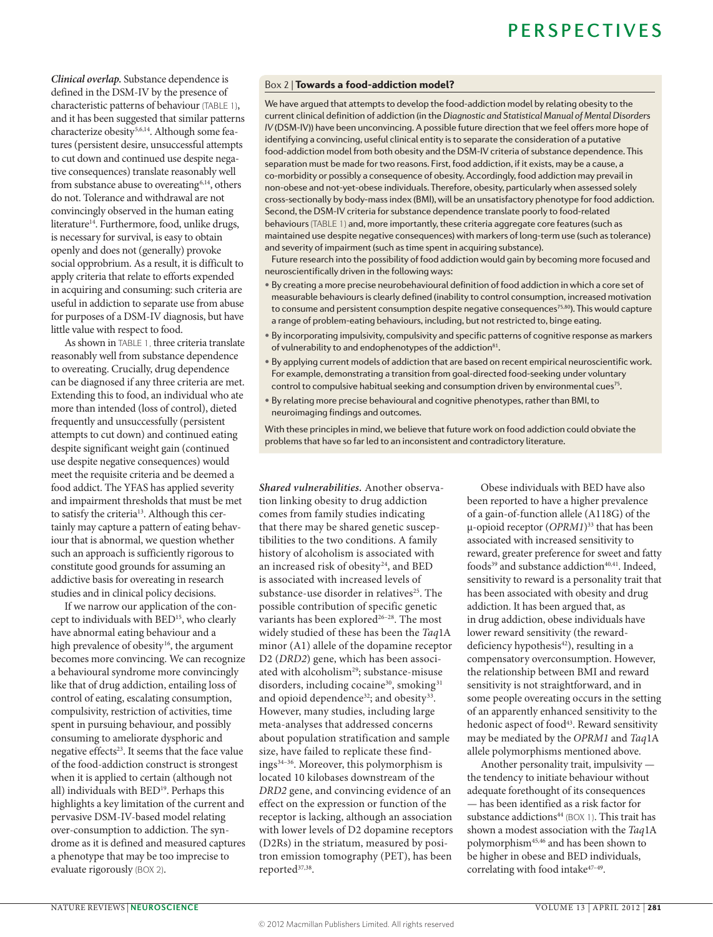*Clinical overlap.* Substance dependence is defined in the DSM-IV by the presence of characteristic patterns of behaviour (TABLE 1), and it has been suggested that similar patterns characterize obesity<sup>5,6,14</sup>. Although some features (persistent desire, unsuccessful attempts to cut down and continued use despite negative consequences) translate reasonably well from substance abuse to overeating<sup>6,14</sup>, others do not. Tolerance and withdrawal are not convincingly observed in the human eating literature<sup>14</sup>. Furthermore, food, unlike drugs, is necessary for survival, is easy to obtain openly and does not (generally) provoke social opprobrium. As a result, it is difficult to apply criteria that relate to efforts expended in acquiring and consuming: such criteria are useful in addiction to separate use from abuse for purposes of a DSM-IV diagnosis, but have little value with respect to food.

As shown in TABLE 1, three criteria translate reasonably well from substance dependence to overeating. Crucially, drug dependence can be diagnosed if any three criteria are met. Extending this to food, an individual who ate more than intended (loss of control), dieted frequently and unsuccessfully (persistent attempts to cut down) and continued eating despite significant weight gain (continued use despite negative consequences) would meet the requisite criteria and be deemed a food addict. The YFAS has applied severity and impairment thresholds that must be met to satisfy the criteria<sup>13</sup>. Although this certainly may capture a pattern of eating behaviour that is abnormal, we question whether such an approach is sufficiently rigorous to constitute good grounds for assuming an addictive basis for overeating in research studies and in clinical policy decisions.

If we narrow our application of the concept to individuals with BED<sup>15</sup>, who clearly have abnormal eating behaviour and a high prevalence of obesity<sup>16</sup>, the argument becomes more convincing. We can recognize a behavioural syndrome more convincingly like that of drug addiction, entailing loss of control of eating, escalating consumption, compulsivity, restriction of activities, time spent in pursuing behaviour, and possibly consuming to ameliorate dysphoric and negative effects<sup>23</sup>. It seems that the face value of the food-addiction construct is strongest when it is applied to certain (although not all) individuals with BED19. Perhaps this highlights a key limitation of the current and pervasive DSM-IV-based model relating over-consumption to addiction. The syndrome as it is defined and measured captures a phenotype that may be too imprecise to evaluate rigorously (BOX 2).

### Box 2 | **Towards a food-addiction model?**

We have argued that attempts to develop the food-addiction model by relating obesity to the current clinical definition of addiction (in the *Diagnostic and Statistical Manual of Mental Disorders IV* (DSM-IV)) have been unconvincing. A possible future direction that we feel offers more hope of identifying a convincing, useful clinical entity is to separate the consideration of a putative food-addiction model from both obesity and the DSM-IV criteria of substance dependence. This separation must be made for two reasons. First, food addiction, if it exists, may be a cause, a co-morbidity or possibly a consequence of obesity. Accordingly, food addiction may prevail in non-obese and not-yet-obese individuals. Therefore, obesity, particularly when assessed solely cross-sectionally by body-mass index (BMI), will be an unsatisfactory phenotype for food addiction. Second, the DSM-IV criteria for substance dependence translate poorly to food-related behaviours (TABLE 1) and, more importantly, these criteria aggregate core features (such as maintained use despite negative consequences) with markers of long-term use (such as tolerance) and severity of impairment (such as time spent in acquiring substance).

Future research into the possibility of food addiction would gain by becoming more focused and neuroscientifically driven in the following ways:

- • By creating a more precise neurobehavioural definition of food addiction in which a core set of measurable behaviours is clearly defined (inability to control consumption, increased motivation to consume and persistent consumption despite negative consequences $75,80$ ). This would capture a range of problem-eating behaviours, including, but not restricted to, binge eating.
- • By incorporating impulsivity, compulsivity and specific patterns of cognitive response as markers of vulnerability to and endophenotypes of the addiction<sup>81</sup>.
- • By applying current models of addiction that are based on recent empirical neuroscientific work. For example, demonstrating a transition from goal-directed food-seeking under voluntary control to compulsive habitual seeking and consumption driven by environmental cues<sup>75</sup>.
- By relating more precise behavioural and cognitive phenotypes, rather than BMI, to neuroimaging findings and outcomes.

With these principles in mind, we believe that future work on food addiction could obviate the problems that have so far led to an inconsistent and contradictory literature.

*Shared vulnerabilities.* Another observation linking obesity to drug addiction comes from family studies indicating that there may be shared genetic susceptibilities to the two conditions. A family history of alcoholism is associated with an increased risk of obesity<sup>24</sup>, and BED is associated with increased levels of substance-use disorder in relatives<sup>25</sup>. The possible contribution of specific genetic variants has been explored<sup>26-28</sup>. The most widely studied of these has been the *Taq*1A minor (A1) allele of the dopamine receptor D2 (*DRD2*) gene, which has been associated with alcoholism<sup>29</sup>; substance-misuse disorders, including cocaine<sup>30</sup>, smoking<sup>31</sup> and opioid dependence<sup>32</sup>; and obesity<sup>33</sup>. However, many studies, including large meta-analyses that addressed concerns about population stratification and sample size, have failed to replicate these findings34–36. Moreover, this polymorphism is located 10 kilobases downstream of the *DRD2* gene, and convincing evidence of an effect on the expression or function of the receptor is lacking, although an association with lower levels of D2 dopamine receptors (D2Rs) in the striatum, measured by positron emission tomography (PET), has been reported37,38.

Obese individuals with BED have also been reported to have a higher prevalence of a gain-of-function allele (A118G) of the μ-opioid receptor (*OPRM1*)33 that has been associated with increased sensitivity to reward, greater preference for sweet and fatty foods<sup>39</sup> and substance addiction<sup>40,41</sup>. Indeed, sensitivity to reward is a personality trait that has been associated with obesity and drug addiction. It has been argued that, as in drug addiction, obese individuals have lower reward sensitivity (the rewarddeficiency hypothesis<sup>42</sup>), resulting in a compensatory overconsumption. However, the relationship between BMI and reward sensitivity is not straightforward, and in some people overeating occurs in the setting of an apparently enhanced sensitivity to the hedonic aspect of food<sup>43</sup>. Reward sensitivity may be mediated by the *OPRM1* and *Taq*1A allele polymorphisms mentioned above.

Another personality trait, impulsivity the tendency to initiate behaviour without adequate forethought of its consequences — has been identified as a risk factor for substance addictions<sup>44</sup> (BOX 1). This trait has shown a modest association with the *Taq*1A polymorphism45,46 and has been shown to be higher in obese and BED individuals, correlating with food intake<sup>47-49</sup>.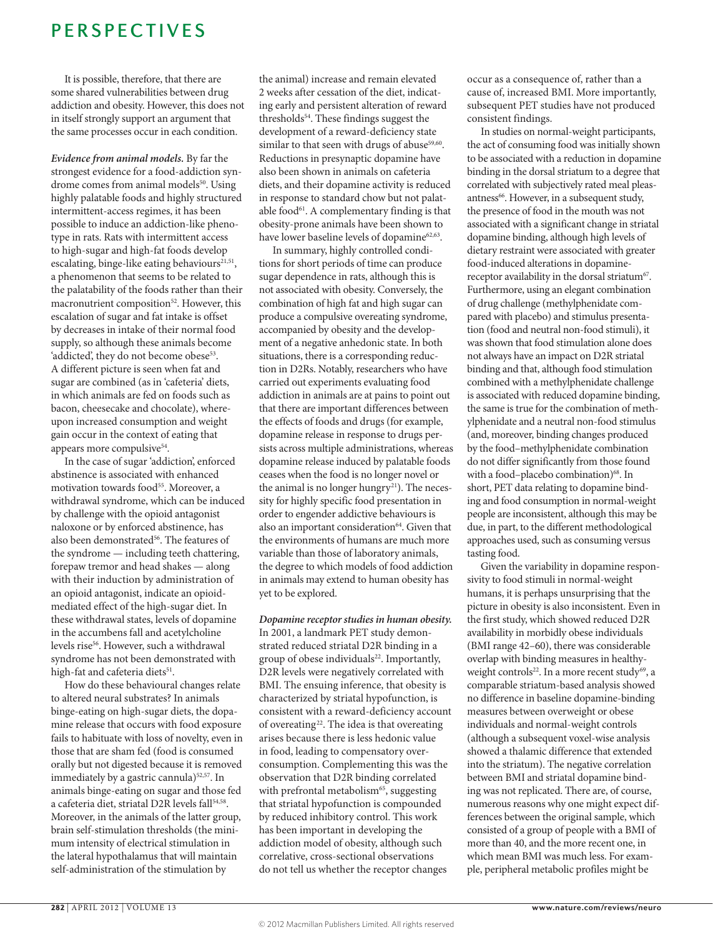It is possible, therefore, that there are some shared vulnerabilities between drug addiction and obesity. However, this does not in itself strongly support an argument that the same processes occur in each condition.

*Evidence from animal models.* By far the strongest evidence for a food-addiction syndrome comes from animal models<sup>50</sup>. Using highly palatable foods and highly structured intermittent-access regimes, it has been possible to induce an addiction-like phenotype in rats. Rats with intermittent access to high-sugar and high-fat foods develop escalating, binge-like eating behaviours<sup>21,51</sup>, a phenomenon that seems to be related to the palatability of the foods rather than their macronutrient composition<sup>52</sup>. However, this escalation of sugar and fat intake is offset by decreases in intake of their normal food supply, so although these animals become 'addicted', they do not become obese<sup>53</sup>. A different picture is seen when fat and sugar are combined (as in 'cafeteria' diets, in which animals are fed on foods such as bacon, cheesecake and chocolate), whereupon increased consumption and weight gain occur in the context of eating that appears more compulsive<sup>54</sup>.

In the case of sugar 'addiction', enforced abstinence is associated with enhanced motivation towards food<sup>55</sup>. Moreover, a withdrawal syndrome, which can be induced by challenge with the opioid antagonist naloxone or by enforced abstinence, has also been demonstrated<sup>56</sup>. The features of the syndrome — including teeth chattering, forepaw tremor and head shakes — along with their induction by administration of an opioid antagonist, indicate an opioidmediated effect of the high-sugar diet. In these withdrawal states, levels of dopamine in the accumbens fall and acetylcholine levels rise<sup>56</sup>. However, such a withdrawal syndrome has not been demonstrated with high-fat and cafeteria diets<sup>51</sup>.

How do these behavioural changes relate to altered neural substrates? In animals binge-eating on high-sugar diets, the dopamine release that occurs with food exposure fails to habituate with loss of novelty, even in those that are sham fed (food is consumed orally but not digested because it is removed immediately by a gastric cannula)<sup>52,57</sup>. In animals binge-eating on sugar and those fed a cafeteria diet, striatal D2R levels fall<sup>54,58</sup>. Moreover, in the animals of the latter group, brain self-stimulation thresholds (the minimum intensity of electrical stimulation in the lateral hypothalamus that will maintain self-administration of the stimulation by

the animal) increase and remain elevated 2 weeks after cessation of the diet, indicating early and persistent alteration of reward thresholds<sup>54</sup>. These findings suggest the development of a reward-deficiency state similar to that seen with drugs of abuse<sup>59,60</sup>. Reductions in presynaptic dopamine have also been shown in animals on cafeteria diets, and their dopamine activity is reduced in response to standard chow but not palatable food61. A complementary finding is that obesity-prone animals have been shown to have lower baseline levels of dopamine<sup>62,63</sup>.

In summary, highly controlled conditions for short periods of time can produce sugar dependence in rats, although this is not associated with obesity. Conversely, the combination of high fat and high sugar can produce a compulsive overeating syndrome, accompanied by obesity and the development of a negative anhedonic state. In both situations, there is a corresponding reduction in D2Rs. Notably, researchers who have carried out experiments evaluating food addiction in animals are at pains to point out that there are important differences between the effects of foods and drugs (for example, dopamine release in response to drugs persists across multiple administrations, whereas dopamine release induced by palatable foods ceases when the food is no longer novel or the animal is no longer hungry<sup>21</sup>). The necessity for highly specific food presentation in order to engender addictive behaviours is also an important consideration<sup>64</sup>. Given that the environments of humans are much more variable than those of laboratory animals, the degree to which models of food addiction in animals may extend to human obesity has yet to be explored.

*Dopamine receptor studies in human obesity.*  In 2001, a landmark PET study demonstrated reduced striatal D2R binding in a group of obese individuals $22$ . Importantly, D2R levels were negatively correlated with BMI. The ensuing inference, that obesity is characterized by striatal hypofunction, is consistent with a reward-deficiency account of overeating<sup>22</sup>. The idea is that overeating arises because there is less hedonic value in food, leading to compensatory overconsumption. Complementing this was the observation that D2R binding correlated with prefrontal metabolism<sup>65</sup>, suggesting that striatal hypofunction is compounded by reduced inhibitory control. This work has been important in developing the addiction model of obesity, although such correlative, cross-sectional observations do not tell us whether the receptor changes

occur as a consequence of, rather than a cause of, increased BMI. More importantly, subsequent PET studies have not produced consistent findings.

In studies on normal-weight participants, the act of consuming food was initially shown to be associated with a reduction in dopamine binding in the dorsal striatum to a degree that correlated with subjectively rated meal pleasantness<sup>66</sup>. However, in a subsequent study, the presence of food in the mouth was not associated with a significant change in striatal dopamine binding, although high levels of dietary restraint were associated with greater food-induced alterations in dopaminereceptor availability in the dorsal striatum<sup>67</sup>. Furthermore, using an elegant combination of drug challenge (methylphenidate compared with placebo) and stimulus presentation (food and neutral non-food stimuli), it was shown that food stimulation alone does not always have an impact on D2R striatal binding and that, although food stimulation combined with a methylphenidate challenge is associated with reduced dopamine binding, the same is true for the combination of methylphenidate and a neutral non-food stimulus (and, moreover, binding changes produced by the food–methylphenidate combination do not differ significantly from those found with a food-placebo combination)<sup>68</sup>. In short, PET data relating to dopamine binding and food consumption in normal-weight people are inconsistent, although this may be due, in part, to the different methodological approaches used, such as consuming versus tasting food.

Given the variability in dopamine responsivity to food stimuli in normal-weight humans, it is perhaps unsurprising that the picture in obesity is also inconsistent. Even in the first study, which showed reduced D2R availability in morbidly obese individuals (BMI range 42–60), there was considerable overlap with binding measures in healthyweight controls<sup>22</sup>. In a more recent study<sup>69</sup>, a comparable striatum-based analysis showed no difference in baseline dopamine-binding measures between overweight or obese individuals and normal-weight controls (although a subsequent voxel-wise analysis showed a thalamic difference that extended into the striatum). The negative correlation between BMI and striatal dopamine binding was not replicated. There are, of course, numerous reasons why one might expect differences between the original sample, which consisted of a group of people with a BMI of more than 40, and the more recent one, in which mean BMI was much less. For example, peripheral metabolic profiles might be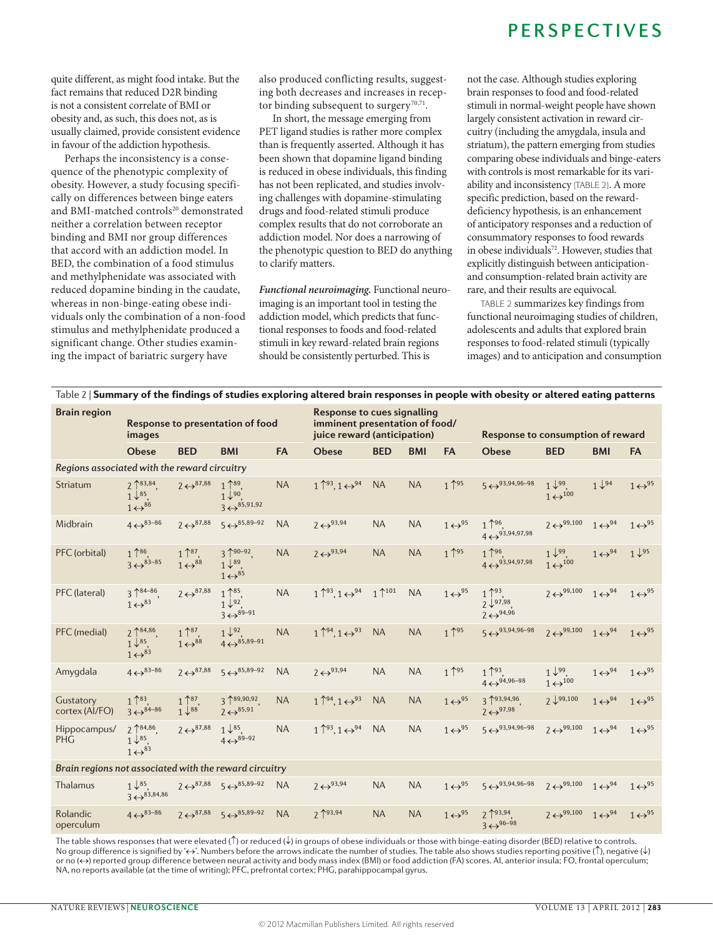quite different, as might food intake. But the fact remains that reduced D2R binding is not a consistent correlate of BMI or obesity and, as such, this does not, as is usually claimed, provide consistent evidence in favour of the addiction hypothesis.

Perhaps the inconsistency is a consequence of the phenotypic complexity of obesity. However, a study focusing specifically on differences between binge eaters and BMI-matched controls<sup>20</sup> demonstrated neither a correlation between receptor binding and BMI nor group differences that accord with an addiction model. In BED, the combination of a food stimulus and methylphenidate was associated with reduced dopamine binding in the caudate, whereas in non-binge-eating obese individuals only the combination of a non-food stimulus and methylphenidate produced a significant change. Other studies examining the impact of bariatric surgery have

also produced conflicting results, suggesting both decreases and increases in receptor binding subsequent to surgery $70,71$ .

In short, the message emerging from PET ligand studies is rather more complex than is frequently asserted. Although it has been shown that dopamine ligand binding is reduced in obese individuals, this finding has not been replicated, and studies involving challenges with dopamine-stimulating drugs and food-related stimuli produce complex results that do not corroborate an addiction model. Nor does a narrowing of the phenotypic question to BED do anything to clarify matters.

*Functional neuroimaging.* Functional neuroimaging is an important tool in testing the addiction model, which predicts that functional responses to foods and food-related stimuli in key reward-related brain regions should be consistently perturbed. This is

not the case. Although studies exploring brain responses to food and food-related stimuli in normal-weight people have shown largely consistent activation in reward circuitry (including the amygdala, insula and striatum), the pattern emerging from studies comparing obese individuals and binge-eaters with controls is most remarkable for its variability and inconsistency (TABLE 2). A more specific prediction, based on the rewarddeficiency hypothesis, is an enhancement of anticipatory responses and a reduction of consummatory responses to food rewards in obese individuals<sup>72</sup>. However, studies that explicitly distinguish between anticipationand consumption-related brain activity are rare, and their results are equivocal.

TABLE 2 summarizes key findings from functional neuroimaging studies of children, adolescents and adults that explored brain responses to food-related stimuli (typically images) and to anticipation and consumption

| Table 2   Summary of the findings of studies exploring altered brain responses in people with obesity or altered eating patterns |                                                                       |                                              |                                                                 |           |                                                                                              |                             |            |                                          |                                                                    |                                           |                           |                           |
|----------------------------------------------------------------------------------------------------------------------------------|-----------------------------------------------------------------------|----------------------------------------------|-----------------------------------------------------------------|-----------|----------------------------------------------------------------------------------------------|-----------------------------|------------|------------------------------------------|--------------------------------------------------------------------|-------------------------------------------|---------------------------|---------------------------|
| <b>Brain region</b>                                                                                                              | Response to presentation of food<br>images                            |                                              |                                                                 |           | Response to cues signalling<br>imminent presentation of food/<br>juice reward (anticipation) |                             |            | <b>Response to consumption of reward</b> |                                                                    |                                           |                           |                           |
|                                                                                                                                  | Obese                                                                 | <b>BED</b>                                   | <b>BMI</b>                                                      | FA        | Obese                                                                                        | <b>BED</b>                  | <b>BMI</b> | <b>FA</b>                                | Obese                                                              | <b>BED</b>                                | <b>BMI</b>                | <b>FA</b>                 |
| Regions associated with the reward circuitry                                                                                     |                                                                       |                                              |                                                                 |           |                                                                                              |                             |            |                                          |                                                                    |                                           |                           |                           |
| Striatum                                                                                                                         | $2^{183,84}$<br>$1\sqrt{85}$<br>$1 \leftrightarrow ^{86}$             | $2 \leftrightarrow ^{87,88}$                 | 1 1 89<br>$1\sqrt{90}$ .<br>$3 \leftrightarrow ^{85,91,92}$     | <b>NA</b> | $1^{\uparrow 93}$ , $1 \leftrightarrow ^{94}$                                                | <b>NA</b>                   | <b>NA</b>  | 1 <sup>95</sup>                          | $5 \leftrightarrow ^{93,94,96-98}$                                 | $1\sqrt{99}$ .<br>$1 \leftrightarrow 100$ | $1\sqrt{94}$              | $1 \leftrightarrow ^{95}$ |
| Midbrain                                                                                                                         | $4 \leftrightarrow ^{83-86}$                                          | $2 \leftrightarrow ^{87,88}$                 | $5 \leftrightarrow ^{85,89-92}$                                 | <b>NA</b> | $2 \leftrightarrow ^{93,94}$                                                                 | <b>NA</b>                   | <b>NA</b>  | $1 \leftrightarrow ^{95}$                | $1^{196}$<br>$4 \leftrightarrow ^{93,94,97,98}$                    | $2 \leftrightarrow ^{99,100}$             | $1 \leftrightarrow ^{94}$ | $1 \leftrightarrow ^{95}$ |
| PFC (orbital)                                                                                                                    | 1 1 86<br>$3 \leftrightarrow ^{83-85}$                                | 1 <sup>87</sup><br>$1 \leftrightarrow ^{88}$ | $3^{190-92}$<br>$1\sqrt{89}$<br>$1 \leftrightarrow ^{85}$       | <b>NA</b> | $2 \leftrightarrow ^{93,94}$                                                                 | <b>NA</b>                   | <b>NA</b>  | 1 <sup>95</sup>                          | 1 <sup>96</sup><br>$4 \leftrightarrow ^{93,94,97,98}$              | $1\sqrt{99}$<br>$1 \leftrightarrow 100$   | $1 \leftrightarrow ^{94}$ | $1\sqrt{95}$              |
| PFC (lateral)                                                                                                                    | $3^{184-86}$<br>$1 \leftrightarrow ^{83}$                             | $2 \leftrightarrow ^{87,88}$                 | 1 <sup>85</sup><br>$1\sqrt{92}$<br>$3 \leftrightarrow ^{89-91}$ | <b>NA</b> | $1^{\uparrow 93}, 1 \leftrightarrow ^{94}$                                                   | $1 \uparrow$ <sup>101</sup> | <b>NA</b>  | $1 \leftrightarrow ^{95}$                | 1 <sup>93</sup><br>$2\sqrt{97.98}$<br>$2 \leftrightarrow ^{94,96}$ | $2 \leftrightarrow ^{99,100}$             | $1 \leftrightarrow ^{94}$ | $1 \leftrightarrow ^{95}$ |
| PFC (medial)                                                                                                                     | $2^{\text{184,86}}$<br>$1\sqrt{85}$<br>$1 \leftrightarrow ^{83}$      | 1 <sup>87</sup><br>$1 \leftrightarrow ^{88}$ | $1\sqrt{92}$<br>$4 \leftrightarrow ^{85,89-91}$                 | <b>NA</b> | $1^{\uparrow 94}$ , $1 \leftrightarrow ^{93}$                                                | <b>NA</b>                   | <b>NA</b>  | 1 <sup>95</sup>                          | $5 \leftrightarrow ^{93,94,96-98}$                                 | $2 \leftrightarrow ^{99,100}$             | $1 \leftrightarrow ^{94}$ | $1 \leftrightarrow ^{95}$ |
| Amygdala                                                                                                                         | $4 \leftrightarrow ^{83-86}$                                          | $2 \leftrightarrow ^{87,88}$                 | $5 \leftrightarrow ^{85,89-92}$                                 | <b>NA</b> | $2 \leftrightarrow ^{93,94}$                                                                 | <b>NA</b>                   | <b>NA</b>  | 1 <sup>95</sup>                          | 1 <sup>93</sup><br>$4 \leftrightarrow ^{94,96-98}$                 | $1\sqrt{99}$<br>$1 \leftrightarrow 100$   | $1 \leftrightarrow ^{94}$ | $1 \leftrightarrow ^{95}$ |
| Gustatory<br>cortex (Al/FO)                                                                                                      | $1^{\uparrow 83}$<br>$3 \leftrightarrow ^{84-86}$                     | $1^{\uparrow 87}_{\downarrow 88}$            | 3 189,90,92<br>$2 \leftrightarrow ^{85,91}$                     | <b>NA</b> | $1^{\uparrow 94}$ , $1 \leftrightarrow ^{93}$                                                | <b>NA</b>                   | <b>NA</b>  | $1 \leftrightarrow ^{95}$                | 3 193,94,96<br>$2 \leftrightarrow ^{97,98}$                        | $2\sqrt{99,100}$                          | $1 \leftrightarrow ^{94}$ | $1 \leftrightarrow ^{95}$ |
| Hippocampus/<br><b>PHG</b>                                                                                                       | $2^{184,86}$<br>$1\sqrt{85}$<br>$1 \leftrightarrow ^{8^{\prime}_{3}}$ | $2 \leftrightarrow ^{87,88}$                 | $1\sqrt{85}$<br>$4 \leftrightarrow$ <sup>89-92</sup>            | <b>NA</b> | $1^{\uparrow 93}$ , $1 \leftrightarrow ^{94}$                                                | <b>NA</b>                   | <b>NA</b>  | $1 \leftrightarrow ^{95}$                | $5 \leftrightarrow ^{93,94,96-98}$                                 | $2 \leftrightarrow ^{99,100}$             | $1 \leftrightarrow ^{94}$ | $1 \leftrightarrow ^{95}$ |
| Brain regions not associated with the reward circuitry                                                                           |                                                                       |                                              |                                                                 |           |                                                                                              |                             |            |                                          |                                                                    |                                           |                           |                           |
| Thalamus                                                                                                                         | $1\sqrt{85}$<br>$3 \leftrightarrow ^{8^2}3,84,86$                     | $2 \leftrightarrow ^{87,88}$                 | $5 \leftrightarrow ^{85,89-92}$                                 | <b>NA</b> | $2 \leftrightarrow ^{93,94}$                                                                 | <b>NA</b>                   | <b>NA</b>  | $1 \leftrightarrow ^{95}$                | $5 \leftrightarrow ^{93,94,96-98}$                                 | $2 \leftrightarrow ^{99,100}$             | $1 \leftrightarrow ^{94}$ | $1 \leftrightarrow ^{95}$ |
| Rolandic<br>operculum                                                                                                            | $4 \leftrightarrow ^{83-86}$                                          | $2 \leftrightarrow ^{87,88}$                 | $5 \leftrightarrow ^{85,89-92}$                                 | <b>NA</b> | $2^{193,94}$                                                                                 | <b>NA</b>                   | <b>NA</b>  | $1 \leftrightarrow ^{95}$                | $2^{193,94}$<br>$3 \leftrightarrow ^{96-98}$                       | $2 \leftrightarrow ^{99,100}$             | $1 \leftrightarrow ^{94}$ | $1 \leftrightarrow ^{95}$ |

The table shows responses that were elevated (↑) or reduced (↓) in groups of obese individuals or those with binge-eating disorder (BED) relative to controls. No group difference is signified by '↔'. Numbers before the arrows indicate the number of studies. The table also shows studies reporting positive (↑), negative (↓)<br>or no (↔) reported group difference between neural activ NA, no reports available (at the time of writing); PFC, prefrontal cortex; PHG, parahippocampal gyrus.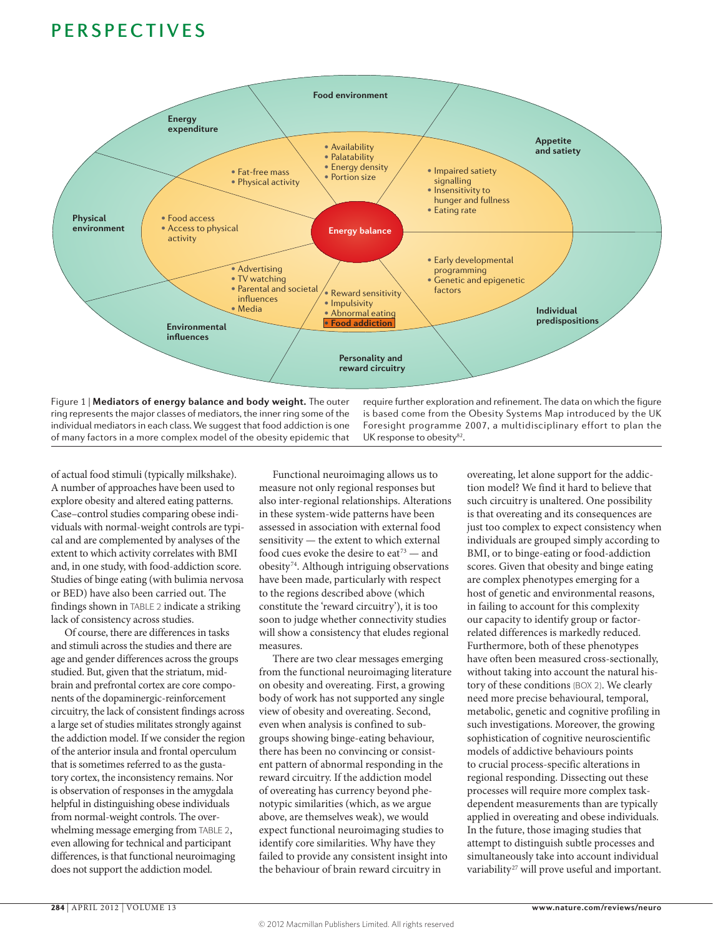

Figure 1 | **Mediators of energy balance and body weight.** The outer ring represents the major classes of mediators, the inner ring some of the individual mediators in each class. We suggest that food addiction is one of many factors in a more complex model of the obesity epidemic that

**Nature Reviews** | **Neuroscience** is based come from the Obesity Systems Map introduced by the UK require further exploration and refinement. The data on which the figure Foresight programme 2007, a multidisciplinary effort to plan the UK response to obesity $82$ .

of actual food stimuli (typically milkshake). A number of approaches have been used to explore obesity and altered eating patterns. Case–control studies comparing obese individuals with normal-weight controls are typical and are complemented by analyses of the extent to which activity correlates with BMI and, in one study, with food-addiction score. Studies of binge eating (with bulimia nervosa or BED) have also been carried out. The findings shown in TABLE 2 indicate a striking lack of consistency across studies.

Of course, there are differences in tasks and stimuli across the studies and there are age and gender differences across the groups studied. But, given that the striatum, midbrain and prefrontal cortex are core components of the dopaminergic-reinforcement circuitry, the lack of consistent findings across a large set of studies militates strongly against the addiction model. If we consider the region of the anterior insula and frontal operculum that is sometimes referred to as the gustatory cortex, the inconsistency remains. Nor is observation of responses in the amygdala helpful in distinguishing obese individuals from normal-weight controls. The overwhelming message emerging from TABLE 2, even allowing for technical and participant differences, is that functional neuroimaging does not support the addiction model.

Functional neuroimaging allows us to measure not only regional responses but also inter-regional relationships. Alterations in these system-wide patterns have been assessed in association with external food sensitivity — the extent to which external food cues evoke the desire to eat<sup>73</sup> — and obesity74. Although intriguing observations have been made, particularly with respect to the regions described above (which constitute the 'reward circuitry'), it is too soon to judge whether connectivity studies will show a consistency that eludes regional measures.

There are two clear messages emerging from the functional neuroimaging literature on obesity and overeating. First, a growing body of work has not supported any single view of obesity and overeating. Second, even when analysis is confined to subgroups showing binge-eating behaviour, there has been no convincing or consistent pattern of abnormal responding in the reward circuitry. If the addiction model of overeating has currency beyond phenotypic similarities (which, as we argue above, are themselves weak), we would expect functional neuroimaging studies to identify core similarities. Why have they failed to provide any consistent insight into the behaviour of brain reward circuitry in

overeating, let alone support for the addiction model? We find it hard to believe that such circuitry is unaltered. One possibility is that overeating and its consequences are just too complex to expect consistency when individuals are grouped simply according to BMI, or to binge-eating or food-addiction scores. Given that obesity and binge eating are complex phenotypes emerging for a host of genetic and environmental reasons, in failing to account for this complexity our capacity to identify group or factorrelated differences is markedly reduced. Furthermore, both of these phenotypes have often been measured cross-sectionally, without taking into account the natural history of these conditions (BOX 2). We clearly need more precise behavioural, temporal, metabolic, genetic and cognitive profiling in such investigations. Moreover, the growing sophistication of cognitive neuroscientific models of addictive behaviours points to crucial process-specific alterations in regional responding. Dissecting out these processes will require more complex taskdependent measurements than are typically applied in overeating and obese individuals. In the future, those imaging studies that attempt to distinguish subtle processes and simultaneously take into account individual variability<sup>27</sup> will prove useful and important.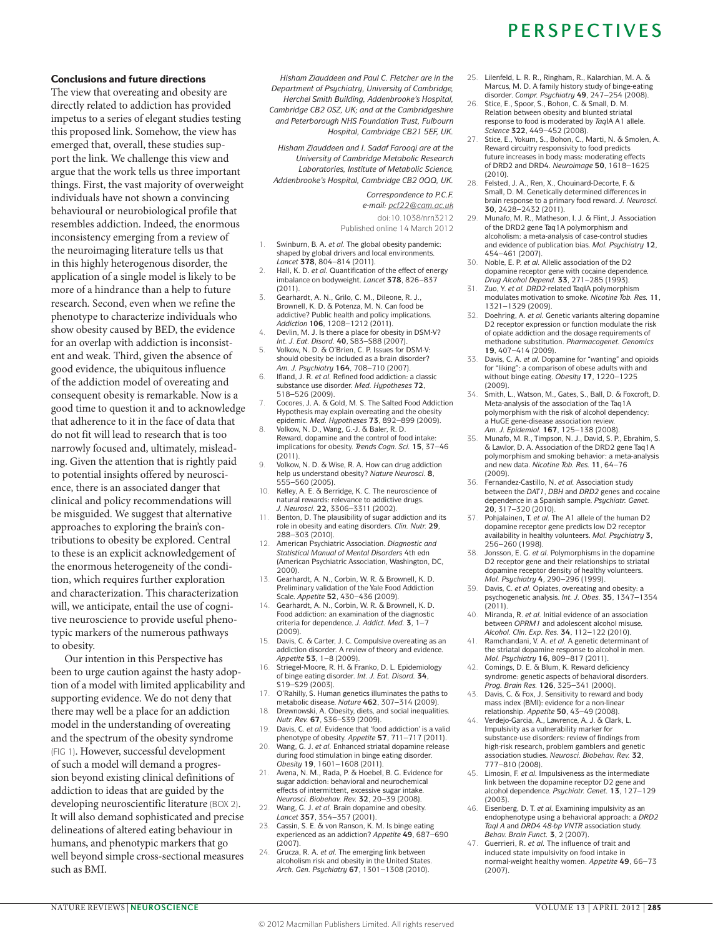#### Conclusions and future directions

The view that overeating and obesity are directly related to addiction has provided impetus to a series of elegant studies testing this proposed link. Somehow, the view has emerged that, overall, these studies support the link. We challenge this view and argue that the work tells us three important things. First, the vast majority of overweight individuals have not shown a convincing behavioural or neurobiological profile that resembles addiction. Indeed, the enormous inconsistency emerging from a review of the neuroimaging literature tells us that in this highly heterogenous disorder, the application of a single model is likely to be more of a hindrance than a help to future research*.* Second, even when we refine the phenotype to characterize individuals who show obesity caused by BED, the evidence for an overlap with addiction is inconsistent and weak*.* Third, given the absence of good evidence, the ubiquitous influence of the addiction model of overeating and consequent obesity is remarkable. Now is a good time to question it and to acknowledge that adherence to it in the face of data that do not fit will lead to research that is too narrowly focused and, ultimately, misleading. Given the attention that is rightly paid to potential insights offered by neuroscience, there is an associated danger that clinical and policy recommendations will be misguided. We suggest that alternative approaches to exploring the brain's contributions to obesity be explored. Central to these is an explicit acknowledgement of the enormous heterogeneity of the condition, which requires further exploration and characterization. This characterization will, we anticipate, entail the use of cognitive neuroscience to provide useful phenotypic markers of the numerous pathways to obesity.

Our intention in this Perspective has been to urge caution against the hasty adoption of a model with limited applicability and supporting evidence. We do not deny that there may well be a place for an addiction model in the understanding of overeating and the spectrum of the obesity syndrome (FIG 1). However, successful development of such a model will demand a progression beyond existing clinical definitions of addiction to ideas that are guided by the developing neuroscientific literature (BOX 2). It will also demand sophisticated and precise delineations of altered eating behaviour in humans, and phenotypic markers that go well beyond simple cross-sectional measures such as BMI.

*Hisham Ziauddeen and Paul C. Fletcher are in the Department of Psychiatry, University of Cambridge, Herchel Smith Building, Addenbrooke's Hospital, Cambridge CB2 0SZ, UK; and at the Cambridgeshire and Peterborough NHS Foundation Trust, Fulbourn Hospital, Cambridge CB21 5EF, UK.* 

*Hisham Ziauddeen and I. Sadaf Farooqi are at the University of Cambridge Metabolic Research Laboratories, Institute of Metabolic Science, Addenbrooke's Hospital, Cambridge CB2 0QQ, UK.* 

> *Correspondence to P.C.F. e-mail: [pcf22@cam.ac.uk](mailto:pcf22@cam.ac.uk)* doi:10.1038/nrn3212

Published online 14 March 2012

- Swinburn, B. A. et al. The global obesity pandemic: shaped by global drivers and local environments. *Lancet* **378**, 804–814 (2011).
- 2. Hall, K. D. *et al.* Quantification of the effect of energy imbalance on bodyweight. *Lancet* **378**, 826–837  $(2011)$
- Gearhardt, A. N., Grilo, C. M., Dileone, R. J., Brownell, K. D. & Potenza, M. N. Can food be addictive? Public health and policy implications. *Addiction* **106**, 1208–1212 (2011).
- 4. Devlin, M. J. Is there a place for obesity in DSM‑V? *Int. J. Eat. Disord.* **40**, S83–S88 (2007).
- 5. Volkow, N. D. & O'Brien, C. P. Issues for DSM‑V: should obesity be included as a brain disorder? *Am. J. Psychiatry* **164**, 708–710 (2007).
- 6. Ifland, J. R. *et al.* Refined food addiction: a classic substance use disorder. *Med. Hypotheses* **72**, 518–526 (2009).
- 7. Cocores, J. A. & Gold, M. S. The Salted Food Addiction Hypothesis may explain overeating and the obesity epidemic. *Med. Hypotheses* **73**, 892–899 (2009).
- 8. Volkow, N. D., Wang, G.-J. & Baler, R. D. Reward, dopamine and the control of food intake: implications for obesity. *Trends Cogn. Sci.* **15**, 37–46  $(2011)$ .
- 9. Volkow, N. D. & Wise, R. A. How can drug addiction help us understand obesity? *Nature Neurosci.* **8**, 555–560 (2005).
- 10. Kelley, A. E. & Berridge, K. C. The neuroscience of natural rewards: relevance to addictive drugs. *J. Neurosci.* **22**, 3306–3311 (2002).
- 11. Benton, D. The plausibility of sugar addiction and its role in obesity and eating disorders. *Clin. Nutr.* **29**, 288–303 (2010).
- 12. American Psychiatric Association. *Diagnostic and Statistical Manual of Mental Disorders* 4th edn (American Psychiatric Association, Washington, DC, 2000).
- 13. Gearhardt, A. N., Corbin, W. R. & Brownell, K. D. Preliminary validation of the Yale Food Addiction Scale. *Appetite* **52**, 430–436 (2009).
- 14. Gearhardt, A. N., Corbin, W. R. & Brownell, K. D. Food addiction: an examination of the diagnostic criteria for dependence. *J. Addict. Med.* **3**, 1–7 (2009).
- 15. Davis, C. & Carter, J. C. Compulsive overeating as an addiction disorder. A review of theory and evidence. *Appetite* **53**, 1–8 (2009). 16. Striegel-Moore, R. H. & Franko, D. L. Epidemiology
- of binge eating disorder. *Int. J. Eat. Disord.* **34**, S19–S29 (2003).
- 17. O'Rahilly, S. Human genetics illuminates the paths to metabolic disease. *Nature* **462**, 307–314 (2009).
- 18. Drewnowski, A. Obesity, diets, and social inequalities. *Nutr. Rev.* **67**, S36–S39 (2009).
- 19. Davis, C. *et al.* Evidence that 'food addiction' is a valid phenotype of obesity. *Appetite* **57**, 711–717 (2011).
- 20. Wang, G. J. *et al.* Enhanced striatal dopamine release during food stimulation in binge eating disorder. *Obesity* **19**, 1601–1608 (2011).
- 21. Avena, N. M., Rada, P. & Hoebel, B. G. Evidence for sugar addiction: behavioral and neurochemical effects of intermittent, excessive sugar intake. *Neurosci. Biobehav. Rev.* **32**, 20–39 (2008).
- 22. Wang, G. J. *et al.* Brain dopamine and obesity. *Lancet* **357**, 354–357 (2001).
- 23. Cassin, S. E. & von Ranson, K. M. Is binge eating experienced as an addiction? *Appetite* **49**, 687–690 (2007).
- 24. Grucza, R. A. *et al.* The emerging link between alcoholism risk and obesity in the United States. *Arch. Gen. Psychiatry* **67**, 1301–1308 (2010).
- 25. Lilenfeld, L. R. R., Ringham, R., Kalarchian, M. A. & Marcus, M. D. A family history study of binge-eating disorder. *Compr. Psychiatry* **49**, 247–254 (2008).
- 26. Stice, E., Spoor, S., Bohon, C. & Small, D. M. Relation between obesity and blunted striatal response to food is moderated by *Taq*IA A1 allele. *Science* **322**, 449–452 (2008).
- 27. Stice, E., Yokum, S., Bohon, C., Marti, N. & Smolen, A. Reward circuitry responsivity to food predicts future increases in body mass: moderating effects of DRD2 and DRD4. *Neuroimage* **50**, 1618–1625 (2010).
- 28. Felsted, J. A., Ren, X., Chouinard-Decorte, F. & Small, D. M. Genetically determined differences in brain response to a primary food reward. *J. Neurosci.* **30**, 2428–2432 (2011).
- 29. Munafo, M. R., Matheson, I. J. & Flint, J. Association of the DRD2 gene Taq1A polymorphism and alcoholism: a meta-analysis of case-control studies and evidence of publication bias. *Mol. Psychiatry* **12**, 454–461 (2007).
- 30. Noble, E. P. *et al.* Allelic association of the D2 dopamine receptor gene with cocaine dependence. *Drug Alcohol Depend.* **33**, 271–285 (1993).
- 31. Zuo, Y. *et al. DRD2*‑related TaqIA polymorphism modulates motivation to smoke. *Nicotine Tob. Res.* **11**, 1321–1329 (2009).
- 32. Doehring, A. *et al.* Genetic variants altering dopamine D2 receptor expression or function modulate the risk of opiate addiction and the dosage requirements of methadone substitution. *Pharmacogenet. Genomics* **19**, 407–414 (2009).
- 33. Davis, C. A. *et al.* Dopamine for "wanting" and opioids for "liking": a comparison of obese adults with and without binge eating. *Obesity* **17**, 1220–1225 (2009).
- 34. Smith, L., Watson, M., Gates, S., Ball, D. & Foxcroft, D. Meta-analysis of the association of the Taq1A polymorphism with the risk of alcohol dependency: a HuGE gene-disease association review. *Am. J. Epidemiol.* **167**, 125–138 (2008).
- 35. Munafo, M. R., Timpson, N. J., David, S. P., Ebrahim, S. & Lawlor, D. A. Association of the DRD2 gene Taq1A polymorphism and smoking behavior: a meta-analysis and new data. *Nicotine Tob. Res.* **11**, 64–76 (2009).
- 36. Fernandez-Castillo, N. *et al.* Association study between the *DAT1*, *DBH* and *DRD2* genes and cocaine dependence in a Spanish sample. *Psychiatr. Genet.* **20**, 317–320 (2010).
- Pohjalainen, T. et al. The A1 allele of the human D2 dopamine receptor gene predicts low D2 receptor availability in healthy volunteers. *Mol. Psychiatry* **3**, 256–260 (1998).
- 38. Jonsson, E. G. *et al.* Polymorphisms in the dopamine D2 receptor gene and their relationships to striatal dopamine receptor density of healthy volunteers.
- *Mol. Psychiatry* **4**, 290–296 (1999). 39. Davis, C. *et al.* Opiates, overeating and obesity: a psychogenetic analysis. *Int. J. Obes.* **35**, 1347–1354  $(2011)$
- 40. Miranda, R. *et al.* Initial evidence of an association between *OPRM1* and adolescent alcohol misuse.
- *Alcohol. Clin. Exp. Res.* **34**, 112–122 (2010). 41. Ramchandani, V. A. *et al.* A genetic determinant of the striatal dopamine response to alcohol in men. *Mol. Psychiatry* **16**, 809–817 (2011).
- 42. Comings, D. E. & Blum, K. Reward deficiency syndrome: genetic aspects of behavioral disorders. *Prog. Brain Res.* **126**, 325–341 (2000).
- 43. Davis, C. & Fox, J. Sensitivity to reward and body mass index (BMI): evidence for a non-linear relationship. *Appetite* **50**, 43–49 (2008).
- 44. Verdejo-Garcia, A., Lawrence, A. J. & Clark, L. Impulsivity as a vulnerability marker for substance-use disorders: review of findings from high-risk research, problem gamblers and genetic association studies. *Neurosci. Biobehav. Rev.* **32**, 777–810 (2008).
- 45. Limosin, F. *et al.* Impulsiveness as the intermediate link between the dopamine receptor D2 gene and alcohol dependence. *Psychiatr. Genet.* **13**, 127–129 (2003).
- 46. Eisenberg, D. T. *et al.* Examining impulsivity as an endophenotype using a behavioral approach: a *DRD2 TaqI A* and *DRD4 48-bp VNTR* association study. *Behav. Brain Funct.* **3**, 2 (2007).
- Guerrieri, R. et al. The influence of trait and induced state impulsivity on food intake in normal‑weight healthy women. *Appetite* **49**, 66–73 (2007).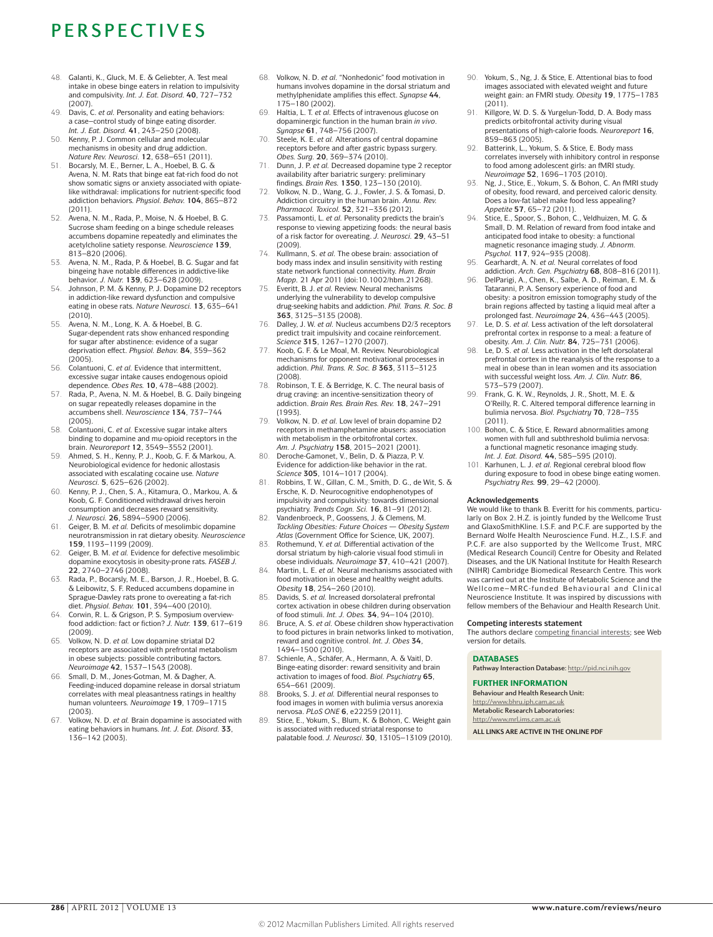- 48. Galanti, K., Gluck, M. E. & Geliebter, A. Test meal intake in obese binge eaters in relation to impulsivity and compulsivity. *Int. J. Eat. Disord.* **40**, 727–732 (2007).
- 49. Davis, C. *et al.* Personality and eating behaviors: a case–control study of binge eating disorder. *Int. J. Eat. Disord.* **41**, 243–250 (2008).
- 50. Kenny, P. J. Common cellular and molecular mechanisms in obesity and drug addiction. *Nature Rev. Neurosci.* **12**, 638–651 (2011). 51. Bocarsly, M. E., Berner, L. A., Hoebel, B. G. &
- Avena, N. M. Rats that binge eat fat-rich food do not show somatic signs or anxiety associated with opiatelike withdrawal: implications for nutrient-specific food addiction behaviors. *Physiol. Behav.* **104**, 865–872 (2011).
- 52. Avena, N. M., Rada, P., Moise, N. & Hoebel, B. G. Sucrose sham feeding on a binge schedule releases accumbens dopamine repeatedly and eliminates the acetylcholine satiety response. *Neuroscience* **139**, 813–820 (2006).
- 53. Avena, N. M., Rada, P. & Hoebel, B. G. Sugar and fat bingeing have notable differences in addictive-like behavior. *J. Nutr.* **139**, 623–628 (2009).
- 54. Johnson, P. M. & Kenny, P. J. Dopamine D2 receptors in addiction-like reward dysfunction and compulsive eating in obese rats. *Nature Neurosci.* **13**, 635–641  $(2010)$
- 55. Avena, N. M., Long, K. A. & Hoebel, B. G. Sugar-dependent rats show enhanced responding for sugar after abstinence: evidence of a sugar deprivation effect. *Physiol. Behav.* **84**, 359–362 (2005).
- 56. Colantuoni, C. *et al.* Evidence that intermittent, excessive sugar intake causes endogenous opioid dependence. *Obes Res.* **10**, 478–488 (2002).
- 57. Rada, P., Avena, N. M. & Hoebel, B. G. Daily bingeing on sugar repeatedly releases dopamine in the accumbens shell. *Neuroscience* **134**, 737–744 (2005).
- 58. Colantuoni, C. *et al.* Excessive sugar intake alters binding to dopamine and mu-opioid receptors in the brain. *Neuroreport* **12**, 3549–3552 (2001).
- Ahmed, S. H., Kenny, P. J., Koob, G. F. & Markou, A. Neurobiological evidence for hedonic allostasis associated with escalating cocaine use. *Nature Neurosci.* **5**, 625–626 (2002).
- 60. Kenny, P. J., Chen, S. A., Kitamura, O., Markou, A. & Koob, G. F. Conditioned withdrawal drives heroin consumption and decreases reward sensitivity. *J. Neurosci.* **26**, 5894–5900 (2006).
- 61. Geiger, B. M. *et al.* Deficits of mesolimbic dopamine neurotransmission in rat dietary obesity. *Neuroscience* **159**, 1193–1199 (2009).
- 62. Geiger, B. M. *et al.* Evidence for defective mesolimbic dopamine exocytosis in obesity-prone rats. *FASEB J.* **22**, 2740–2746 (2008).
- 63. Rada, P., Bocarsly, M. E., Barson, J. R., Hoebel, B. G. & Leibowitz, S. F. Reduced accumbens dopamine in Sprague-Dawley rats prone to overeating a fat-rich diet. *Physiol. Behav.* **101**, 394–400 (2010).
- 64. Corwin, R. L. & Grigson, P. S. Symposium overviewfood addiction: fact or fiction? *J. Nutr.* **139**, 617–619 (2009).
- 65. Volkow, N. D. *et al.* Low dopamine striatal D2 receptors are associated with prefrontal metabolism in obese subjects: possible contributing factors. *Neuroimage* **42**, 1537–1543 (2008).
- 66. Small, D. M., Jones-Gotman, M. & Dagher, A. Feeding-induced dopamine release in dorsal striatum correlates with meal pleasantness ratings in healthy human volunteers. *Neuroimage* **19**, 1709–1715 (2003).
- 67. Volkow, N. D. *et al.* Brain dopamine is associated with eating behaviors in humans. *Int. J. Eat. Disord.* **33**, 136–142 (2003).
- 68. Volkow, N. D. *et al.* "Nonhedonic" food motivation in humans involves dopamine in the dorsal striatum and methylphenidate amplifies this effect. *Synapse* **44**, 175–180 (2002).
- 69. Haltia, L. T. *et al.* Effects of intravenous glucose on dopaminergic function in the human brain *in vivo*. *Synapse* **61**, 748–756 (2007).
- 70. Steele, K. E. *et al.* Alterations of central dopamine receptors before and after gastric bypass surgery. *Obes. Surg.* **20**, 369–374 (2010). 71. Dunn, J. P. *et al.* Decreased dopamine type 2 receptor
- availability after bariatric surgery: preliminary findings. *Brain Res.* **1350**, 123–130 (2010).
- Volkow, N. D., Wang, G. J., Fowler, J. S. & Tomasi, D. Addiction circuitry in the human brain. *Annu. Rev. Pharmacol. Toxicol.* **52**, 321–336 (2012).
- Passamonti, L. et al. Personality predicts the brain's response to viewing appetizing foods: the neural basis of a risk factor for overeating. *J. Neurosci.* **29**, 43–51 (2009).
- 74. Kullmann, S. *et al.* The obese brain: association of body mass index and insulin sensitivity with resting state network functional connectivity. *Hum. Brain Mapp.* 21 Apr 2011 (doi:10.1002/hbm.21268).
- 75. Everitt, B. J. *et al.* Review. Neural mechanisms underlying the vulnerability to develop compulsive drug-seeking habits and addiction. *Phil. Trans. R. Soc. B* **363**, 3125–3135 (2008).
- 76. Dalley, J. W. *et al.* Nucleus accumbens D2/3 receptors predict trait impulsivity and cocaine reinforcement. *Science* **315**, 1267–1270 (2007).
- 77. Koob, G. F. & Le Moal, M. Review. Neurobiological mechanisms for opponent motivational processes in addiction. *Phil. Trans. R. Soc. B* **363**, 3113–3123 (2008).
- 78. Robinson, T. E. & Berridge, K. C. The neural basis of drug craving: an incentive-sensitization theory of addiction. *Brain Res. Brain Res. Rev.* **18**, 247–291 (1993).
- 79. Volkow, N. D. *et al.* Low level of brain dopamine D2 receptors in methamphetamine abusers: association with metabolism in the orbitofrontal cortex. *Am. J. Psychiatry* **158**, 2015–2021 (2001).
- 80. Deroche-Gamonet, V., Belin, D. & Piazza, P. V. Evidence for addiction-like behavior in the rat. *Science* **305**, 1014–1017 (2004).
- 81. Robbins, T. W., Gillan, C. M., Smith, D. G., de Wit, S. & Ersche, K. D. Neurocognitive endophenotypes of impulsivity and compulsivity: towards dimensional psychiatry. *Trends Cogn. Sci.* **16**, 81–91 (2012).
- Vandenbroeck, P., Goossens, J. & Clemens, M. *Tackling Obesities: Future Choices — Obesity System Atlas* (Government Office for Science, UK, 2007).
- 83. Rothemund, Y. *et al.* Differential activation of the dorsal striatum by high-calorie visual food stimuli in obese individuals. *Neuroimage* **37**, 410–421 (2007).
- 84. Martin, L. E. *et al.* Neural mechanisms associated with food motivation in obese and healthy weight adults. *Obesity* **18**, 254–260 (2010).
- Davids, S. et al. Increased dorsolateral prefrontal cortex activation in obese children during observation of food stimuli. *Int. J. Obes.* **34**, 94–104 (2010).
- 86. Bruce, A. S. *et al.* Obese children show hyperactivation to food pictures in brain networks linked to motivation, reward and cognitive control. *Int. J. Obes* **34**, 1494–1500 (2010).
- 87. Schienle, A., Schäfer, A., Hermann, A. & Vaitl, D. Binge-eating disorder: reward sensitivity and brain activation to images of food. *Biol. Psychiatry* **65**, 654–661 (2009).
- 88. Brooks, S. J. *et al.* Differential neural responses to food images in women with bulimia versus anorexia nervosa. *PLoS ONE* **6**, e22259 (2011).
- 89. Stice, E., Yokum, S., Blum, K. & Bohon, C. Weight gain is associated with reduced striatal response to palatable food. *J. Neurosci.* **30**, 13105–13109 (2010).
- 90. Yokum, S., Ng, J. & Stice, E. Attentional bias to food images associated with elevated weight and future weight gain: an FMRI study. *Obesity* **19**, 1775–1783 (2011).
- 91. Killgore, W. D. S. & Yurgelun-Todd, D. A. Body mass predicts orbitofrontal activity during visual presentations of high-calorie foods. *Neuroreport* **16**, 859–863 (2005).
- 92. Batterink, L., Yokum, S. & Stice, E. Body mass correlates inversely with inhibitory control in response to food among adolescent girls: an fMRI study. *Neuroimage* **52**, 1696–1703 (2010).
- 93. Ng, J., Stice, E., Yokum, S. & Bohon, C. An fMRI study of obesity, food reward, and perceived caloric density. Does a low-fat label make food less appealing?
- *Appetite* **57**, 65–72 (2011). 94. Stice, E., Spoor, S., Bohon, C., Veldhuizen, M. G. & Small, D. M. Relation of reward from food intake and anticipated food intake to obesity: a functional magnetic resonance imaging study. *J. Abnorm. Psychol.* **117**, 924–935 (2008).
- 95. Gearhardt, A. N. *et al.* Neural correlates of food addiction. *Arch. Gen. Psychiatry* **68**, 808–816 (2011).
- 96. DelParigi, A., Chen, K., Salbe, A. D., Reiman, E. M. & Tataranni, P. A. Sensory experience of food and obesity: a positron emission tomography study of the brain regions affected by tasting a liquid meal after a prolonged fast. *Neuroimage* **24**, 436–443 (2005).
- 97. Le, D. S. *et al.* Less activation of the left dorsolateral prefrontal cortex in response to a meal: a feature of obesity. *Am. J. Clin. Nutr.* **84**, 725–731 (2006).
- 98. Le, D. S. *et al.* Less activation in the left dorsolateral prefrontal cortex in the reanalysis of the response to a meal in obese than in lean women and its association with successful weight loss. *Am. J. Clin. Nutr.* **86**, 573–579 (2007).
- 99. Frank, G. K. W., Reynolds, J. R., Shott, M. E. & O'Reilly, R. C. Altered temporal difference learning in bulimia nervosa. *Biol. Psychiatry* **70**, 728–735 (2011).
- 100. Bohon, C. & Stice, E. Reward abnormalities among women with full and subthreshold bulimia nervosa: a functional magnetic resonance imaging study. *Int. J. Eat. Disord.* **44**, 585–595 (2010).
- 101. Karhunen, L. J. *et al.* Regional cerebral blood flow during exposure to food in obese binge eating women. *Psychiatry Res.* **99**, 29–42 (2000).

#### **Acknowledgements**

We would like to thank B. Everitt for his comments, particularly on Box 2.H.Z. is jointly funded by the Wellcome Trust and GlaxoSmithKline. I.S.F. and P.C.F. are supported by the Bernard Wolfe Health Neuroscience Fund. H.Z., I.S.F. and P.C.F. are also supported by the Wellcome Trust, MRC (Medical Research Council) Centre for Obesity and Related Diseases, and the UK National Institute for Health Research (NIHR) Cambridge Biomedical Research Centre. This work was carried out at the Institute of Metabolic Science and the Wellcome–MRC-funded Behavioural and Clinical Neuroscience Institute. It was inspired by discussions with fellow members of the Behaviour and Health Research Unit.

#### **Competing interests statement**

The authors declare [competing financial interests](http://www.nature.com/nrn/journal/v13/n4/box/nrn3212_audecl.html); see Web version for details.

#### **DATABASES**

Pathway Interaction Database:<http://pid.nci.nih.gov>

#### FURTHER INFORMATION

Behaviour and Health Research Unit: <http://www.bhru.iph.cam.ac.uk> Metabolic Research Laboratories:

<http://www.mrl.ims.cam.ac.uk>

**ALL LINKS ARE ACTIVE IN THE ONLINE PDF**